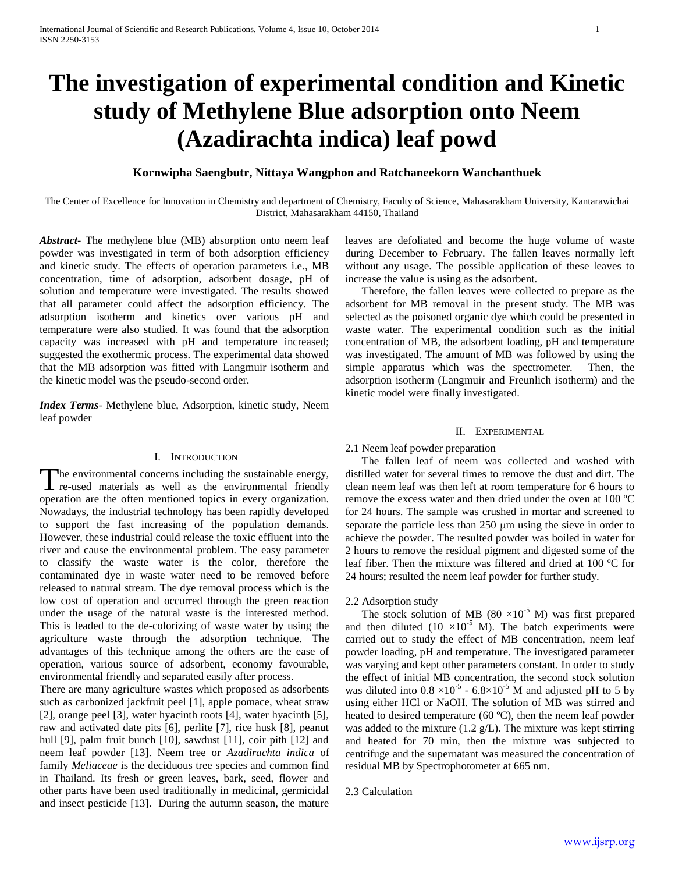# **The investigation of experimental condition and Kinetic study of Methylene Blue adsorption onto Neem (Azadirachta indica) leaf powd**

# **Kornwipha Saengbutr, Nittaya Wangphon and Ratchaneekorn Wanchanthuek**

The Center of Excellence for Innovation in Chemistry and department of Chemistry, Faculty of Science, Mahasarakham University, Kantarawichai District, Mahasarakham 44150, Thailand

*Abstract***-** The methylene blue (MB) absorption onto neem leaf powder was investigated in term of both adsorption efficiency and kinetic study. The effects of operation parameters i.e., MB concentration, time of adsorption, adsorbent dosage, pH of solution and temperature were investigated. The results showed that all parameter could affect the adsorption efficiency. The adsorption isotherm and kinetics over various pH and temperature were also studied. It was found that the adsorption capacity was increased with pH and temperature increased; suggested the exothermic process. The experimental data showed that the MB adsorption was fitted with Langmuir isotherm and the kinetic model was the pseudo-second order.

*Index Terms*- Methylene blue, Adsorption, kinetic study, Neem leaf powder

## I. INTRODUCTION

The environmental concerns including the sustainable energy, The environmental concerns including the sustainable energy, re-used materials as well as the environmental friendly operation are the often mentioned topics in every organization. Nowadays, the industrial technology has been rapidly developed to support the fast increasing of the population demands. However, these industrial could release the toxic effluent into the river and cause the environmental problem. The easy parameter to classify the waste water is the color, therefore the contaminated dye in waste water need to be removed before released to natural stream. The dye removal process which is the low cost of operation and occurred through the green reaction under the usage of the natural waste is the interested method. This is leaded to the de-colorizing of waste water by using the agriculture waste through the adsorption technique. The advantages of this technique among the others are the ease of operation, various source of adsorbent, economy favourable, environmental friendly and separated easily after process.

There are many agriculture wastes which proposed as adsorbents such as carbonized jackfruit peel [1], apple pomace, wheat straw [2], orange peel [3], water hyacinth roots [4], water hyacinth [5], raw and activated date pits [6], perlite [7], rice husk [8], peanut hull [9], palm fruit bunch [10], sawdust [11], coir pith [12] and neem leaf powder [13]. Neem tree or *Azadirachta indica* of family *Meliaceae* is the deciduous tree species and common find in Thailand. Its fresh or green leaves, bark, seed, flower and other parts have been used traditionally in medicinal, germicidal and insect pesticide [13]. During the autumn season, the mature

leaves are defoliated and become the huge volume of waste during December to February. The fallen leaves normally left without any usage. The possible application of these leaves to increase the value is using as the adsorbent.

 Therefore, the fallen leaves were collected to prepare as the adsorbent for MB removal in the present study. The MB was selected as the poisoned organic dye which could be presented in waste water. The experimental condition such as the initial concentration of MB, the adsorbent loading, pH and temperature was investigated. The amount of MB was followed by using the simple apparatus which was the spectrometer. Then, the adsorption isotherm (Langmuir and Freunlich isotherm) and the kinetic model were finally investigated.

## II. EXPERIMENTAL

## 2.1 Neem leaf powder preparation

 The fallen leaf of neem was collected and washed with distilled water for several times to remove the dust and dirt. The clean neem leaf was then left at room temperature for 6 hours to remove the excess water and then dried under the oven at 100 ºC for 24 hours. The sample was crushed in mortar and screened to separate the particle less than  $250 \mu m$  using the sieve in order to achieve the powder. The resulted powder was boiled in water for 2 hours to remove the residual pigment and digested some of the leaf fiber. Then the mixture was filtered and dried at 100 ºC for 24 hours; resulted the neem leaf powder for further study.

### 2.2 Adsorption study

The stock solution of MB (80  $\times$ 10<sup>-5</sup> M) was first prepared and then diluted (10  $\times$ 10<sup>-5</sup> M). The batch experiments were carried out to study the effect of MB concentration, neem leaf powder loading, pH and temperature. The investigated parameter was varying and kept other parameters constant. In order to study the effect of initial MB concentration, the second stock solution was diluted into  $0.8 \times 10^{-5}$  -  $6.8 \times 10^{-5}$  M and adjusted pH to 5 by using either HCl or NaOH. The solution of MB was stirred and heated to desired temperature (60 ºC), then the neem leaf powder was added to the mixture (1.2 g/L). The mixture was kept stirring and heated for 70 min, then the mixture was subjected to centrifuge and the supernatant was measured the concentration of residual MB by Spectrophotometer at 665 nm.

2.3 Calculation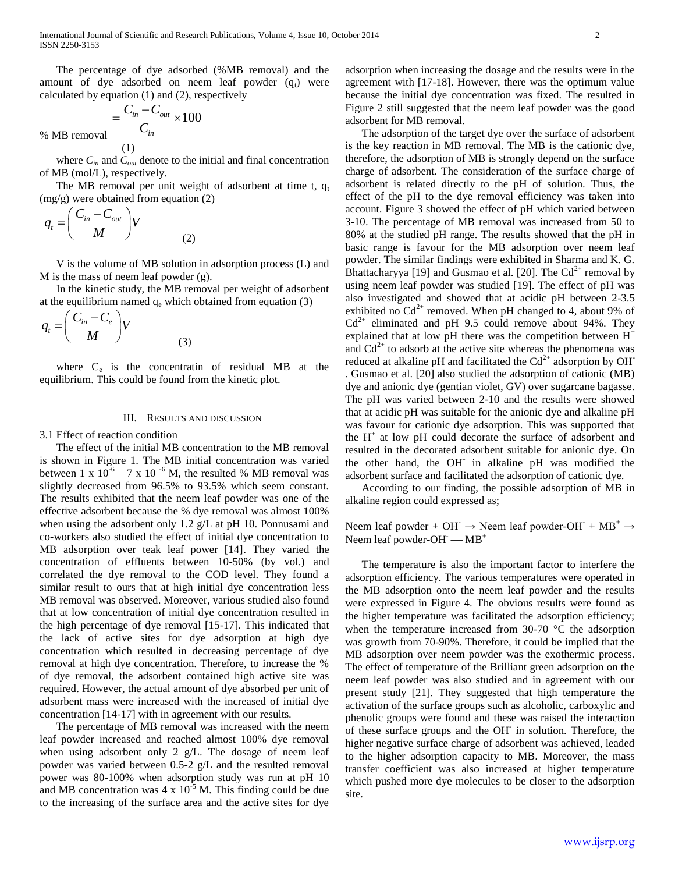The percentage of dye adsorbed (%MB removal) and the amount of dye adsorbed on neem leaf powder  $(q_t)$  were calculated by equation (1) and (2), respectively

$$
=\frac{C_{in}-C_{out}}{C_{in}}\times 100
$$

% MB removal

where  $C_{in}$  and  $C_{out}$  denote to the initial and final concentration of MB (mol/L), respectively.

The MB removal per unit weight of adsorbent at time t,  $q_t$ (mg/g) were obtained from equation (2)

$$
q_t = \left(\frac{C_{in} - C_{out}}{M}\right) V
$$
 (2)

(1)

 V is the volume of MB solution in adsorption process (L) and M is the mass of neem leaf powder (g).

 In the kinetic study, the MB removal per weight of adsorbent at the equilibrium named  $q_e$  which obtained from equation (3)

$$
q_t = \left(\frac{C_{in} - C_e}{M}\right) V
$$
\n(3)

where  $C_e$  is the concentratin of residual MB at the equilibrium. This could be found from the kinetic plot.

## III. RESULTS AND DISCUSSION

3.1 Effect of reaction condition

 The effect of the initial MB concentration to the MB removal is shown in Figure 1. The MB initial concentration was varied between 1 x  $10^{-6} - 7$  x 10<sup>-6</sup> M, the resulted % MB removal was slightly decreased from 96.5% to 93.5% which seem constant. The results exhibited that the neem leaf powder was one of the effective adsorbent because the % dye removal was almost 100% when using the adsorbent only 1.2 g/L at pH 10. Ponnusami and co-workers also studied the effect of initial dye concentration to MB adsorption over teak leaf power [14]. They varied the concentration of effluents between 10-50% (by vol.) and correlated the dye removal to the COD level. They found a similar result to ours that at high initial dye concentration less MB removal was observed. Moreover, various studied also found that at low concentration of initial dye concentration resulted in the high percentage of dye removal [15-17]. This indicated that the lack of active sites for dye adsorption at high dye concentration which resulted in decreasing percentage of dye removal at high dye concentration. Therefore, to increase the % of dye removal, the adsorbent contained high active site was required. However, the actual amount of dye absorbed per unit of adsorbent mass were increased with the increased of initial dye concentration [14-17] with in agreement with our results.

 The percentage of MB removal was increased with the neem leaf powder increased and reached almost 100% dye removal when using adsorbent only 2 g/L. The dosage of neem leaf powder was varied between 0.5-2 g/L and the resulted removal power was 80-100% when adsorption study was run at pH 10 and MB concentration was  $4 \times 10^{-5}$  M. This finding could be due to the increasing of the surface area and the active sites for dye adsorption when increasing the dosage and the results were in the agreement with [17-18]. However, there was the optimum value because the initial dye concentration was fixed. The resulted in Figure 2 still suggested that the neem leaf powder was the good adsorbent for MB removal.

 The adsorption of the target dye over the surface of adsorbent is the key reaction in MB removal. The MB is the cationic dye, therefore, the adsorption of MB is strongly depend on the surface charge of adsorbent. The consideration of the surface charge of adsorbent is related directly to the pH of solution. Thus, the effect of the pH to the dye removal efficiency was taken into account. Figure 3 showed the effect of pH which varied between 3-10. The percentage of MB removal was increased from 50 to 80% at the studied pH range. The results showed that the pH in basic range is favour for the MB adsorption over neem leaf powder. The similar findings were exhibited in Sharma and K. G. Bhattacharyya [19] and Gusmao et al. [20]. The  $Cd^{2+}$  removal by using neem leaf powder was studied [19]. The effect of pH was also investigated and showed that at acidic pH between 2-3.5 exhibited no  $Cd^{2+}$  removed. When pH changed to 4, about 9% of  $Cd^{2+}$  eliminated and pH 9.5 could remove about 94%. They explained that at low pH there was the competition between  $H^+$ and  $Cd^{2+}$  to adsorb at the active site whereas the phenomena was reduced at alkaline pH and facilitated the  $Cd^{2+}$  adsorption by OH<sup>-</sup> . Gusmao et al. [20] also studied the adsorption of cationic (MB) dye and anionic dye (gentian violet, GV) over sugarcane bagasse. The pH was varied between 2-10 and the results were showed that at acidic pH was suitable for the anionic dye and alkaline pH was favour for cationic dye adsorption. This was supported that the  $H^+$  at low pH could decorate the surface of adsorbent and resulted in the decorated adsorbent suitable for anionic dye. On the other hand, the OH-in alkaline pH was modified the adsorbent surface and facilitated the adsorption of cationic dye.

 According to our finding, the possible adsorption of MB in alkaline region could expressed as;

Neem leaf powder + OH $\rightarrow$  Neem leaf powder-OH $\rightarrow$  MB<sup>+</sup>  $\rightarrow$ Neem leaf powder-OH $-$ MB<sup>+</sup>

 The temperature is also the important factor to interfere the adsorption efficiency. The various temperatures were operated in the MB adsorption onto the neem leaf powder and the results were expressed in Figure 4. The obvious results were found as the higher temperature was facilitated the adsorption efficiency; when the temperature increased from 30-70  $\degree$ C the adsorption was growth from 70-90%. Therefore, it could be implied that the MB adsorption over neem powder was the exothermic process. The effect of temperature of the Brilliant green adsorption on the neem leaf powder was also studied and in agreement with our present study [21]. They suggested that high temperature the activation of the surface groups such as alcoholic, carboxylic and phenolic groups were found and these was raised the interaction of these surface groups and the OH-in solution. Therefore, the higher negative surface charge of adsorbent was achieved, leaded to the higher adsorption capacity to MB. Moreover, the mass transfer coefficient was also increased at higher temperature which pushed more dye molecules to be closer to the adsorption site.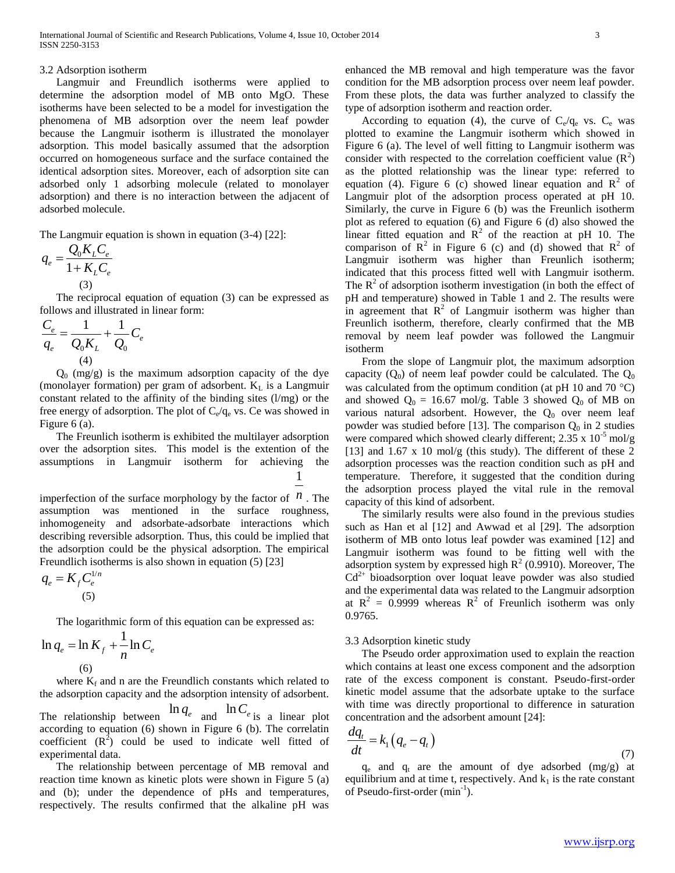## 3.2 Adsorption isotherm

 Langmuir and Freundlich isotherms were applied to determine the adsorption model of MB onto MgO. These isotherms have been selected to be a model for investigation the phenomena of MB adsorption over the neem leaf powder because the Langmuir isotherm is illustrated the monolayer adsorption. This model basically assumed that the adsorption occurred on homogeneous surface and the surface contained the identical adsorption sites. Moreover, each of adsorption site can adsorbed only 1 adsorbing molecule (related to monolayer adsorption) and there is no interaction between the adjacent of adsorbed molecule.

The Langmuir equation is shown in equation (3-4) [22]:

$$
q_e = \frac{Q_0 K_L C_e}{1 + K_L C_e}
$$
  
(3)

 The reciprocal equation of equation (3) can be expressed as follows and illustrated in linear form:

$$
\frac{C_e}{q_e} = \frac{1}{Q_0 K_L} + \frac{1}{Q_0} C_e
$$
\n(4)

 $Q_0$  (mg/g) is the maximum adsorption capacity of the dye (monolayer formation) per gram of adsorbent.  $K_L$  is a Langmuir constant related to the affinity of the binding sites (l/mg) or the free energy of adsorption. The plot of  $C_e/q_e$  vs. Ce was showed in Figure 6 (a).

 The Freunlich isotherm is exhibited the multilayer adsorption over the adsorption sites. This model is the extention of the assumptions in Langmuir isotherm for achieving the 1

imperfection of the surface morphology by the factor of  $n$ . The assumption was mentioned in the surface roughness, inhomogeneity and adsorbate-adsorbate interactions which describing reversible adsorption. Thus, this could be implied that the adsorption could be the physical adsorption. The empirical Freundlich isotherms is also shown in equation (5) [23]

$$
q_e = K_f C_e^{1/n}
$$
\n(5)

The logarithmic form of this equation can be expressed as:

$$
\ln q_e = \ln K_f + \frac{1}{n} \ln C_e
$$
  
(6)

where  $K_f$  and n are the Freundlich constants which related to the adsorption capacity and the adsorption intensity of adsorbent.

The relationship between  $\ln q_e$  and  $\ln C_e$  is a linear plot according to equation (6) shown in Figure 6 (b). The correlatin coefficient  $(R^2)$  could be used to indicate well fitted of experimental data.

 The relationship between percentage of MB removal and reaction time known as kinetic plots were shown in Figure 5 (a) and (b); under the dependence of pHs and temperatures, respectively. The results confirmed that the alkaline pH was enhanced the MB removal and high temperature was the favor condition for the MB adsorption process over neem leaf powder. From these plots, the data was further analyzed to classify the type of adsorption isotherm and reaction order.

According to equation (4), the curve of  $C_e/q_e$  vs.  $C_e$  was plotted to examine the Langmuir isotherm which showed in Figure 6 (a). The level of well fitting to Langmuir isotherm was consider with respected to the correlation coefficient value  $(R^2)$ as the plotted relationship was the linear type: referred to equation (4). Figure 6 (c) showed linear equation and  $\mathbb{R}^2$  of Langmuir plot of the adsorption process operated at pH 10. Similarly, the curve in Figure 6 (b) was the Freunlich isotherm plot as refered to equation (6) and Figure 6 (d) also showed the linear fitted equation and  $R^2$  of the reaction at pH 10. The comparison of  $\mathbb{R}^2$  in Figure 6 (c) and (d) showed that  $\mathbb{R}^2$  of Langmuir isotherm was higher than Freunlich isotherm; indicated that this process fitted well with Langmuir isotherm. The  $R<sup>2</sup>$  of adsorption isotherm investigation (in both the effect of pH and temperature) showed in Table 1 and 2. The results were in agreement that  $R^2$  of Langmuir isotherm was higher than Freunlich isotherm, therefore, clearly confirmed that the MB removal by neem leaf powder was followed the Langmuir isotherm

 From the slope of Langmuir plot, the maximum adsorption capacity  $(Q_0)$  of neem leaf powder could be calculated. The  $Q_0$ was calculated from the optimum condition (at pH 10 and 70  $^{\circ}$ C) and showed  $Q_0 = 16.67$  mol/g. Table 3 showed  $Q_0$  of MB on various natural adsorbent. However, the  $Q_0$  over neem leaf powder was studied before [13]. The comparison  $Q_0$  in 2 studies were compared which showed clearly different;  $2.35 \times 10^{-5}$  mol/g [13] and 1.67 x 10 mol/g (this study). The different of these 2 adsorption processes was the reaction condition such as pH and temperature. Therefore, it suggested that the condition during the adsorption process played the vital rule in the removal capacity of this kind of adsorbent.

 The similarly results were also found in the previous studies such as Han et al [12] and Awwad et al [29]. The adsorption isotherm of MB onto lotus leaf powder was examined [12] and Langmuir isotherm was found to be fitting well with the adsorption system by expressed high  $R^2$  (0.9910). Moreover, The  $Cd<sup>2+</sup>$  bioadsorption over loquat leave powder was also studied and the experimental data was related to the Langmuir adsorption at  $R^2 = 0.9999$  whereas  $R^2$  of Freunlich isotherm was only 0.9765.

3.3 Adsorption kinetic study

 The Pseudo order approximation used to explain the reaction which contains at least one excess component and the adsorption rate of the excess component is constant. Pseudo-first-order kinetic model assume that the adsorbate uptake to the surface with time was directly proportional to difference in saturation concentration and the adsorbent amount [24]:

$$
\frac{dq_t}{dt} = k_1 \left( q_e - q_t \right) \tag{7}
$$

 $q_e$  and  $q_t$  are the amount of dye adsorbed (mg/g) at equilibrium and at time t, respectively. And  $k_1$  is the rate constant of Pseudo-first-order (min<sup>-1</sup>).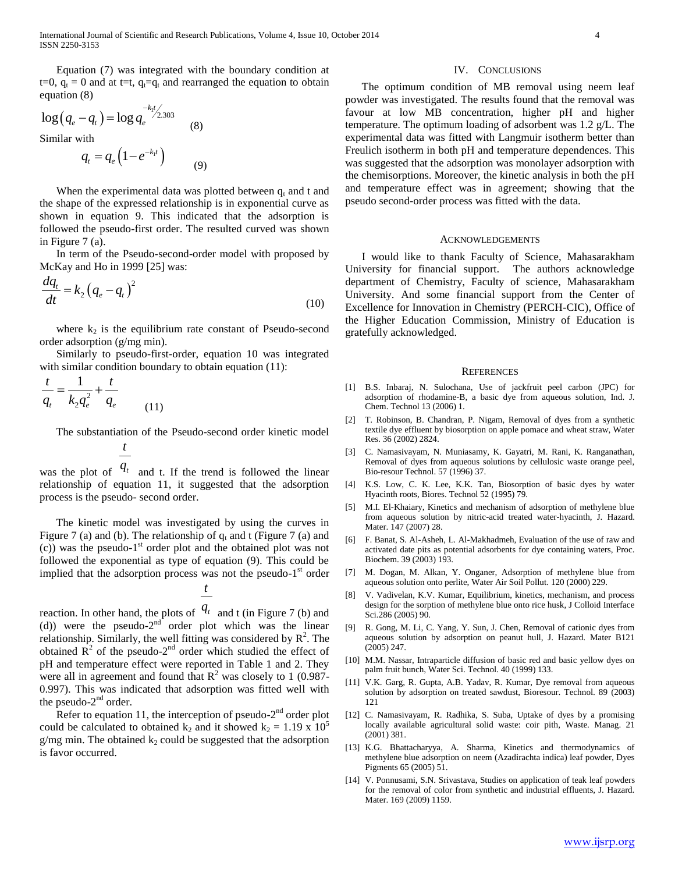Equation (7) was integrated with the boundary condition at t=0,  $q_t = 0$  and at t=t,  $q_t = q_t$  and rearranged the equation to obtain equation (8)

$$
\log (q_e - q_t) = \log q_e^{-k_1 t/2.303}
$$
\nSimilar with

Similar with

$$
q_t = q_e \left( 1 - e^{-k_1 t} \right) \tag{9}
$$

When the experimental data was plotted between  $q_t$  and t and the shape of the expressed relationship is in exponential curve as shown in equation 9. This indicated that the adsorption is followed the pseudo-first order. The resulted curved was shown in Figure 7 (a).

 In term of the Pseudo-second-order model with proposed by McKay and Ho in 1999 [25] was:

$$
\frac{dq_t}{dt} = k_2 \left(q_e - q_t\right)^2\tag{10}
$$

where  $k_2$  is the equilibrium rate constant of Pseudo-second order adsorption (g/mg min).

 Similarly to pseudo-first-order, equation 10 was integrated with similar condition boundary to obtain equation (11):

$$
\frac{t}{q_t} = \frac{1}{k_2 q_e^2} + \frac{t}{q_e}
$$
 (11)

The substantiation of the Pseudo-second order kinetic model

*t*

was the plot of  $q_t$  and t. If the trend is followed the linear relationship of equation 11, it suggested that the adsorption process is the pseudo- second order.

 The kinetic model was investigated by using the curves in Figure 7 (a) and (b). The relationship of  $q_t$  and t (Figure 7 (a) and  $(c)$ ) was the pseudo-1<sup>st</sup> order plot and the obtained plot was not followed the exponential as type of equation (9). This could be implied that the adsorption process was not the pseudo-1<sup>st</sup> order

*t*

reaction. In other hand, the plots of  $q_t$  and t (in Figure 7 (b) and (d)) were the pseudo- $2<sup>nd</sup>$  order plot which was the linear relationship. Similarly, the well fitting was considered by  $\mathbb{R}^2$ . The obtained  $\overline{R}^2$  of the pseudo-2<sup>nd</sup> order which studied the effect of pH and temperature effect were reported in Table 1 and 2. They were all in agreement and found that  $\mathbb{R}^2$  was closely to 1 (0.987-0.997). This was indicated that adsorption was fitted well with the pseudo- $2<sup>nd</sup>$  order.

Refer to equation 11, the interception of pseudo- $2<sup>nd</sup>$  order plot could be calculated to obtained k<sub>2</sub> and it showed k<sub>2</sub> = 1.19 x 10<sup>5</sup>  $g/mg$  min. The obtained  $k_2$  could be suggested that the adsorption is favor occurred.

#### IV. CONCLUSIONS

 The optimum condition of MB removal using neem leaf powder was investigated. The results found that the removal was favour at low MB concentration, higher pH and higher temperature. The optimum loading of adsorbent was 1.2 g/L. The experimental data was fitted with Langmuir isotherm better than Freulich isotherm in both pH and temperature dependences. This was suggested that the adsorption was monolayer adsorption with the chemisorptions. Moreover, the kinetic analysis in both the pH and temperature effect was in agreement; showing that the pseudo second-order process was fitted with the data.

#### ACKNOWLEDGEMENTS

 I would like to thank Faculty of Science, Mahasarakham University for financial support. The authors acknowledge department of Chemistry, Faculty of science, Mahasarakham University. And some financial support from the Center of Excellence for Innovation in Chemistry (PERCH-CIC), Office of the Higher Education Commission, Ministry of Education is gratefully acknowledged.

#### **REFERENCES**

- [1] B.S. Inbaraj, N. Sulochana, Use of jackfruit peel carbon (JPC) for adsorption of rhodamine-B, a basic dye from aqueous solution, Ind. J. Chem. Technol 13 (2006) 1.
- [2] T. Robinson, B. Chandran, P. Nigam, Removal of dyes from a synthetic textile dye effluent by biosorption on apple pomace and wheat straw, Water Res. 36 (2002) 2824.
- [3] C. Namasivayam, N. Muniasamy, K. Gayatri, M. Rani, K. Ranganathan, Removal of dyes from aqueous solutions by cellulosic waste orange peel, Bio-resour Technol. 57 (1996) 37.
- [4] K.S. Low, C. K. Lee, K.K. Tan, Biosorption of basic dyes by water Hyacinth roots, Biores. Technol 52 (1995) 79.
- [5] M.I. El-Khaiary, Kinetics and mechanism of adsorption of methylene blue from aqueous solution by nitric-acid treated water-hyacinth, J. Hazard. Mater. 147 (2007) 28.
- [6] F. Banat, S. Al-Asheh, L. Al-Makhadmeh, Evaluation of the use of raw and activated date pits as potential adsorbents for dye containing waters, Proc. Biochem. 39 (2003) 193.
- [7] M. Dogan, M. Alkan, Y. Onganer, Adsorption of methylene blue from aqueous solution onto perlite, Water Air Soil Pollut. 120 (2000) 229.
- [8] V. Vadivelan, K.V. Kumar, Equilibrium, kinetics, mechanism, and process design for the sorption of methylene blue onto rice husk, J Colloid Interface Sci.286 (2005) 90.
- [9] R. Gong, M. Li, C. Yang, Y. Sun, J. Chen, Removal of cationic dyes from aqueous solution by adsorption on peanut hull, J. Hazard. Mater B121 (2005) 247.
- [10] M.M. Nassar, Intraparticle diffusion of basic red and basic yellow dyes on palm fruit bunch, Water Sci. Technol. 40 (1999) 133.
- [11] V.K. Garg, R. Gupta, A.B. Yadav, R. Kumar, Dye removal from aqueous solution by adsorption on treated sawdust, Bioresour. Technol. 89 (2003) 121
- [12] C. Namasivayam, R. Radhika, S. Suba, Uptake of dyes by a promising locally available agricultural solid waste: coir pith, Waste. Manag. 21 (2001) 381.
- [13] K.G. Bhattacharyya, A. Sharma, Kinetics and thermodynamics of methylene blue adsorption on neem (Azadirachta indica) leaf powder, Dyes Pigments 65 (2005) 51.
- [14] V. Ponnusami, S.N. Srivastava, Studies on application of teak leaf powders for the removal of color from synthetic and industrial effluents, J. Hazard. Mater. 169 (2009) 1159.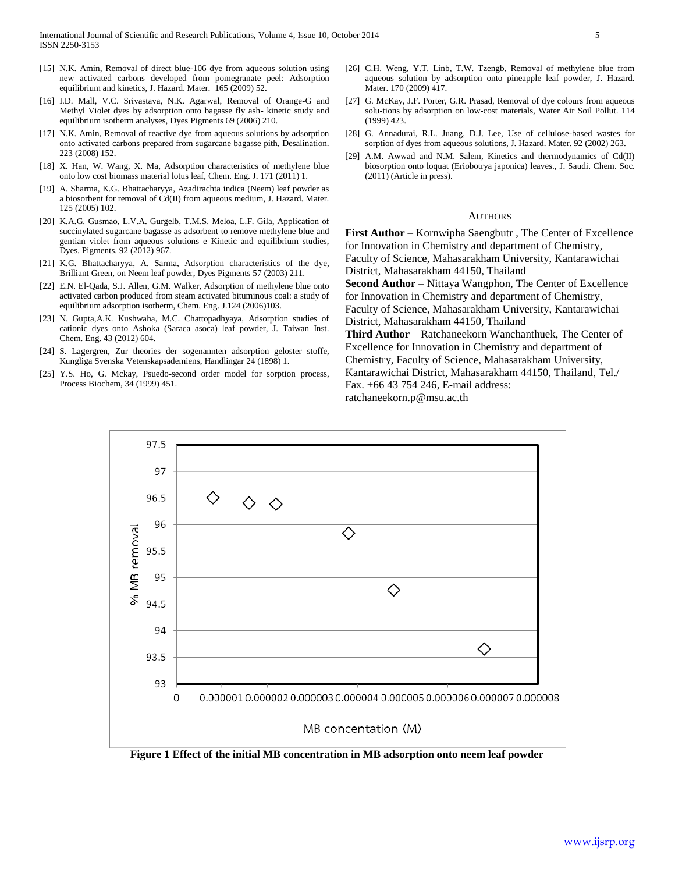- [15] N.K. Amin, Removal of direct blue-106 dye from aqueous solution using new activated carbons developed from pomegranate peel: Adsorption equilibrium and kinetics, J. Hazard. Mater. 165 (2009) 52.
- [16] I.D. Mall, V.C. Srivastava, N.K. Agarwal, Removal of Orange-G and Methyl Violet dyes by adsorption onto bagasse fly ash- kinetic study and equilibrium isotherm analyses, Dyes Pigments 69 (2006) 210.
- [17] N.K. Amin, Removal of reactive dye from aqueous solutions by adsorption onto activated carbons prepared from sugarcane bagasse pith, Desalination. 223 (2008) 152.
- [18] X. Han, W. Wang, X. Ma, Adsorption characteristics of methylene blue onto low cost biomass material lotus leaf, Chem. Eng. J. 171 (2011) 1.
- [19] A. Sharma, K.G. Bhattacharyya, Azadirachta indica (Neem) leaf powder as a biosorbent for removal of Cd(II) from aqueous medium, J. Hazard. Mater. 125 (2005) 102.
- [20] K.A.G. Gusmao, L.V.A. Gurgelb, T.M.S. Meloa, L.F. Gila, Application of succinylated sugarcane bagasse as adsorbent to remove methylene blue and gentian violet from aqueous solutions e Kinetic and equilibrium studies, Dyes. Pigments. 92 (2012) 967.
- [21] K.G. Bhattacharyya, A. Sarma, Adsorption characteristics of the dye, Brilliant Green, on Neem leaf powder, Dyes Pigments 57 (2003) 211.
- [22] E.N. El-Qada, S.J. Allen, G.M. Walker, Adsorption of methylene blue onto activated carbon produced from steam activated bituminous coal: a study of equilibrium adsorption isotherm, Chem. Eng. J.124 (2006)103.
- [23] N. Gupta,A.K. Kushwaha, M.C. Chattopadhyaya, Adsorption studies of cationic dyes onto Ashoka (Saraca asoca) leaf powder, J. Taiwan Inst. Chem. Eng. 43 (2012) 604.
- [24] S. Lagergren, Zur theories der sogenannten adsorption geloster stoffe, Kungliga Svenska Vetenskapsademiens, Handlingar 24 (1898) 1.
- [25] Y.S. Ho, G. Mckay, Psuedo-second order model for sorption process, Process Biochem, 34 (1999) 451.
- [26] C.H. Weng, Y.T. Linb, T.W. Tzengb, Removal of methylene blue from aqueous solution by adsorption onto pineapple leaf powder, J. Hazard. Mater. 170 (2009) 417.
- [27] G. McKay, J.F. Porter, G.R. Prasad, Removal of dye colours from aqueous solu-tions by adsorption on low-cost materials, Water Air Soil Pollut. 114 (1999) 423.
- [28] G. Annadurai, R.L. Juang, D.J. Lee, Use of cellulose-based wastes for sorption of dyes from aqueous solutions, J. Hazard. Mater. 92 (2002) 263.
- [29] A.M. Awwad and N.M. Salem, Kinetics and thermodynamics of Cd(II) biosorption onto loquat (Eriobotrya japonica) leaves., J. Saudi. Chem. Soc. (2011) (Article in press).

#### **AUTHORS**

**First Author** – Kornwipha Saengbutr , The Center of Excellence for Innovation in Chemistry and department of Chemistry, Faculty of Science, Mahasarakham University, Kantarawichai District, Mahasarakham 44150, Thailand

**Second Author** – Nittaya Wangphon, The Center of Excellence for Innovation in Chemistry and department of Chemistry, Faculty of Science, Mahasarakham University, Kantarawichai

District, Mahasarakham 44150, Thailand

**Third Author** – Ratchaneekorn Wanchanthuek, The Center of Excellence for Innovation in Chemistry and department of Chemistry, Faculty of Science, Mahasarakham University, Kantarawichai District, Mahasarakham 44150, Thailand, Tel./ Fax. +66 43 754 246, E-mail address:

ratchaneekorn.p@msu.ac.th



**Figure 1 Effect of the initial MB concentration in MB adsorption onto neem leaf powder**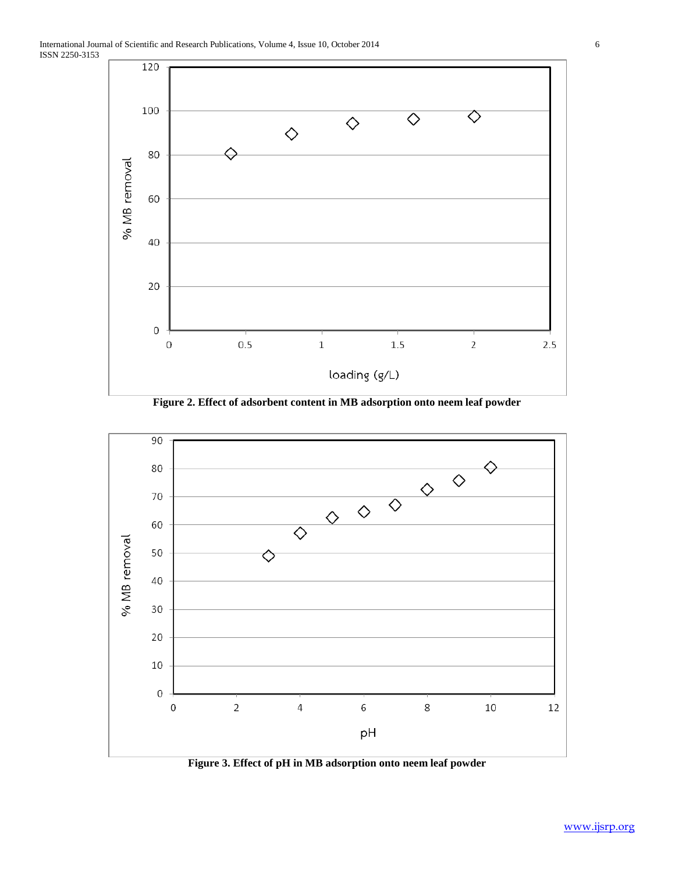

**Figure 2. Effect of adsorbent content in MB adsorption onto neem leaf powder**



**Figure 3. Effect of pH in MB adsorption onto neem leaf powder**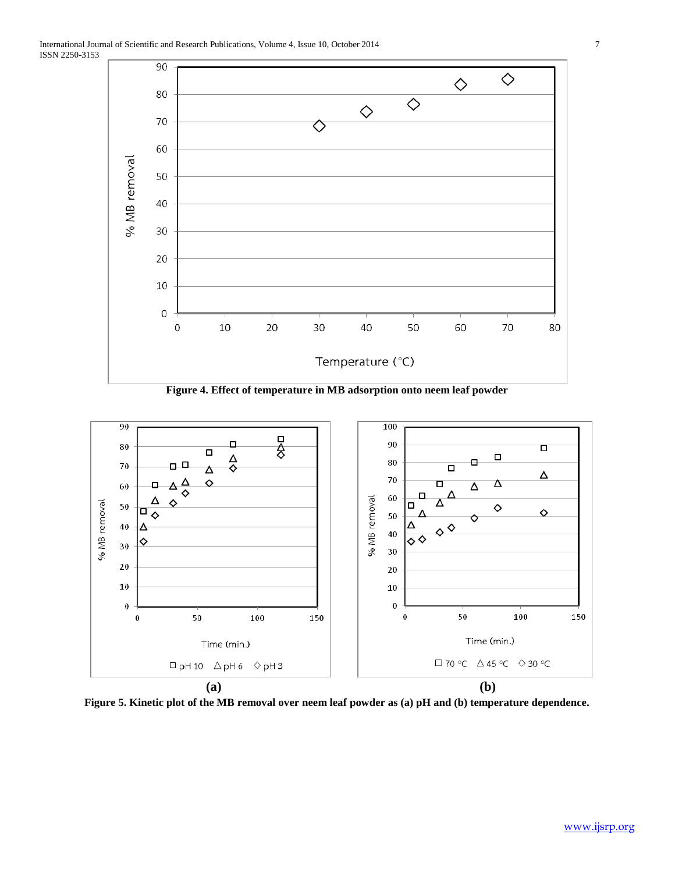

**Figure 4. Effect of temperature in MB adsorption onto neem leaf powder**



**Figure 5. Kinetic plot of the MB removal over neem leaf powder as (a) pH and (b) temperature dependence.**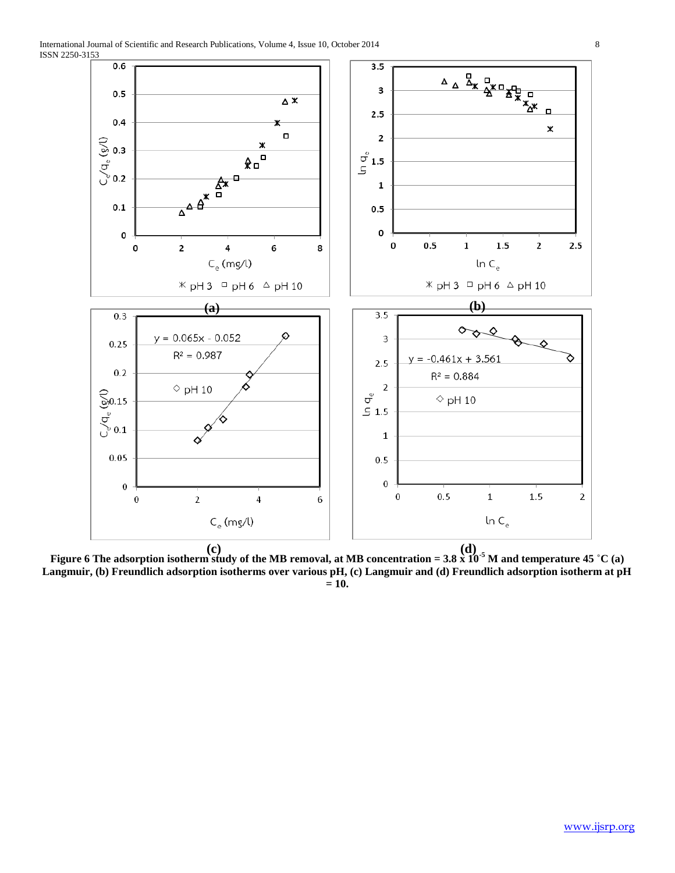

**Figure 6 The adsorption isotherm study of the MB removal, at MB concentration = 3.8 x 10-5 M and temperature 45 ˚C (a) (c) (d)Langmuir, (b) Freundlich adsorption isotherms over various pH, (c) Langmuir and (d) Freundlich adsorption isotherm at pH = 10.**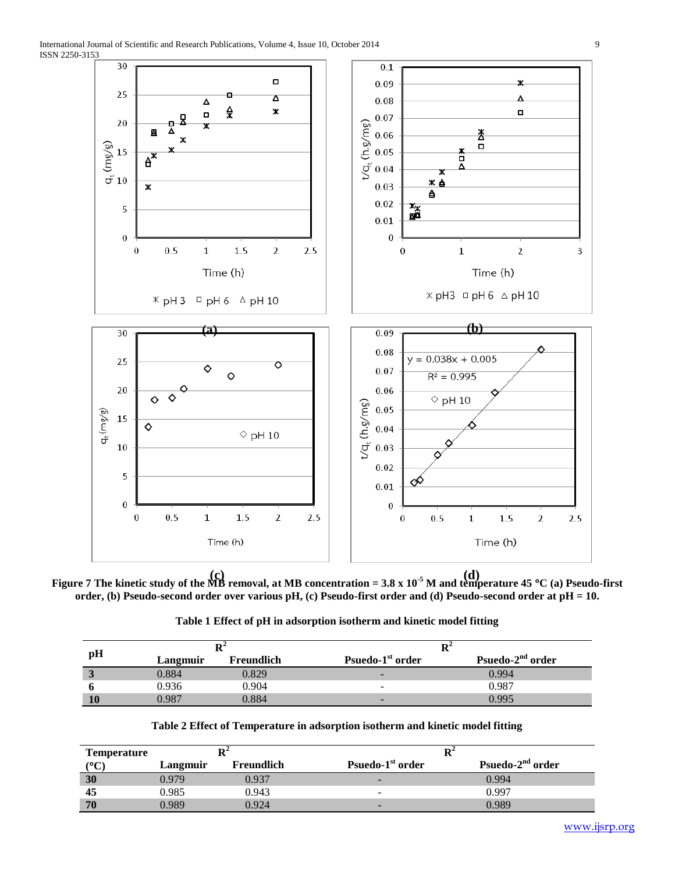

**Figure 7 The kinetic study of the MB removal, at MB concentration = 3.8 x 10-5 M and temperature 45 C (a) Pseudo-first (c) (d)order, (b) Pseudo-second order over various pH, (c) Pseudo-first order and (d) Pseudo-second order at pH = 10.**

|  | Table 1 Effect of pH in adsorption isotherm and kinetic model fitting |
|--|-----------------------------------------------------------------------|
|--|-----------------------------------------------------------------------|

|    | Dʻ       |            |                              |                              |  |  |
|----|----------|------------|------------------------------|------------------------------|--|--|
| pH | Langmuir | Freundlich | Psuedo-1 <sup>st</sup> order | Psuedo-2 <sup>nd</sup> order |  |  |
| ◡  | 0.884    | 0.829      | -                            | 0.994                        |  |  |
|    | 0.936    | 0.904      | -                            | 0.987                        |  |  |
| 10 | 0.987    | 0.884      | -                            | 0.995                        |  |  |

| <b>Temperature</b>    |          |            | $\mathbf{R}^2$               |                              |
|-----------------------|----------|------------|------------------------------|------------------------------|
| $({}^{\circ}{\rm C})$ | Langmuir | Freundlich | Psuedo-1 <sup>st</sup> order | Psuedo-2 <sup>nd</sup> order |
| 30                    | 0.979    | 0.937      | -                            | 0.994                        |
| 45                    | 0.985    | 0.943      | $\overline{\phantom{0}}$     | 0.997                        |
| 70                    | 0.989    | 0.924      | -                            | 0.989                        |